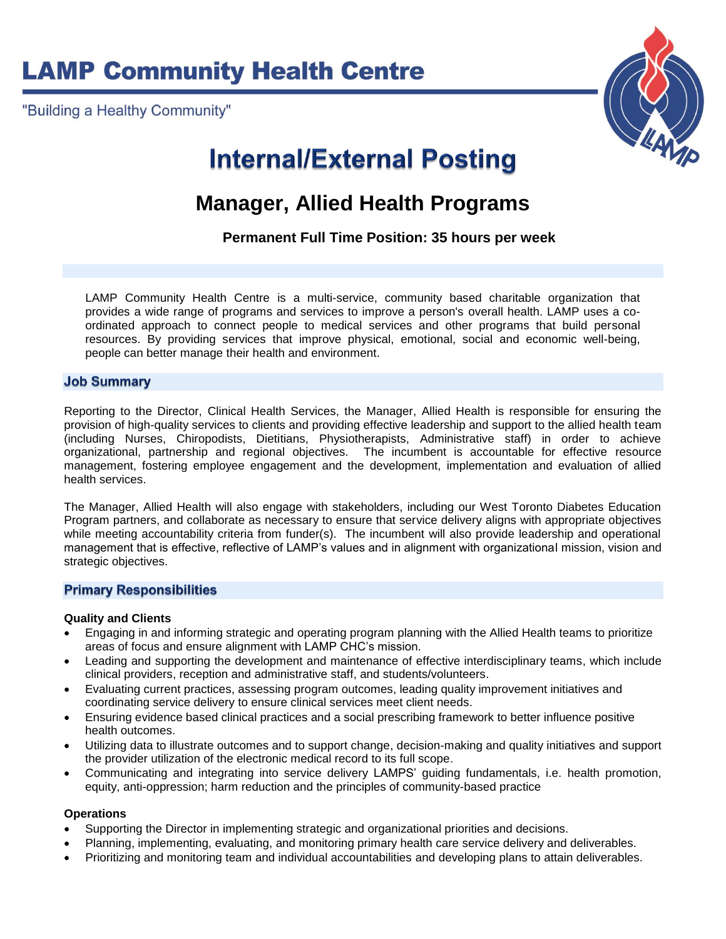**LAMP Community Health Centre** 

"Building a Healthy Community"



# **Internal/External Posting**

# **Manager, Allied Health Programs**

**Permanent Full Time Position: 35 hours per week**

LAMP Community Health Centre is a multi-service, community based charitable organization that provides a wide range of programs and services to improve a person's overall health. LAMP uses a coordinated approach to connect people to medical services and other programs that build personal resources. By providing services that improve physical, emotional, social and economic well-being, people can better manage their health and environment.

#### **Job Summary**

Reporting to the Director, Clinical Health Services, the Manager, Allied Health is responsible for ensuring the provision of high-quality services to clients and providing effective leadership and support to the allied health team (including Nurses, Chiropodists, Dietitians, Physiotherapists, Administrative staff) in order to achieve organizational, partnership and regional objectives. The incumbent is accountable for effective resource management, fostering employee engagement and the development, implementation and evaluation of allied health services.

The Manager, Allied Health will also engage with stakeholders, including our West Toronto Diabetes Education Program partners, and collaborate as necessary to ensure that service delivery aligns with appropriate objectives while meeting accountability criteria from funder(s). The incumbent will also provide leadership and operational management that is effective, reflective of LAMP's values and in alignment with organizational mission, vision and strategic objectives.

#### **Primary Responsibilities**

#### **Quality and Clients**

- Engaging in and informing strategic and operating program planning with the Allied Health teams to prioritize areas of focus and ensure alignment with LAMP CHC's mission.
- Leading and supporting the development and maintenance of effective interdisciplinary teams, which include clinical providers, reception and administrative staff, and students/volunteers.
- Evaluating current practices, assessing program outcomes, leading quality improvement initiatives and coordinating service delivery to ensure clinical services meet client needs.
- Ensuring evidence based clinical practices and a social prescribing framework to better influence positive health outcomes.
- Utilizing data to illustrate outcomes and to support change, decision-making and quality initiatives and support the provider utilization of the electronic medical record to its full scope.
- Communicating and integrating into service delivery LAMPS' guiding fundamentals, i.e. health promotion, equity, anti-oppression; harm reduction and the principles of community-based practice

#### **Operations**

- Supporting the Director in implementing strategic and organizational priorities and decisions.
- Planning, implementing, evaluating, and monitoring primary health care service delivery and deliverables.
- Prioritizing and monitoring team and individual accountabilities and developing plans to attain deliverables.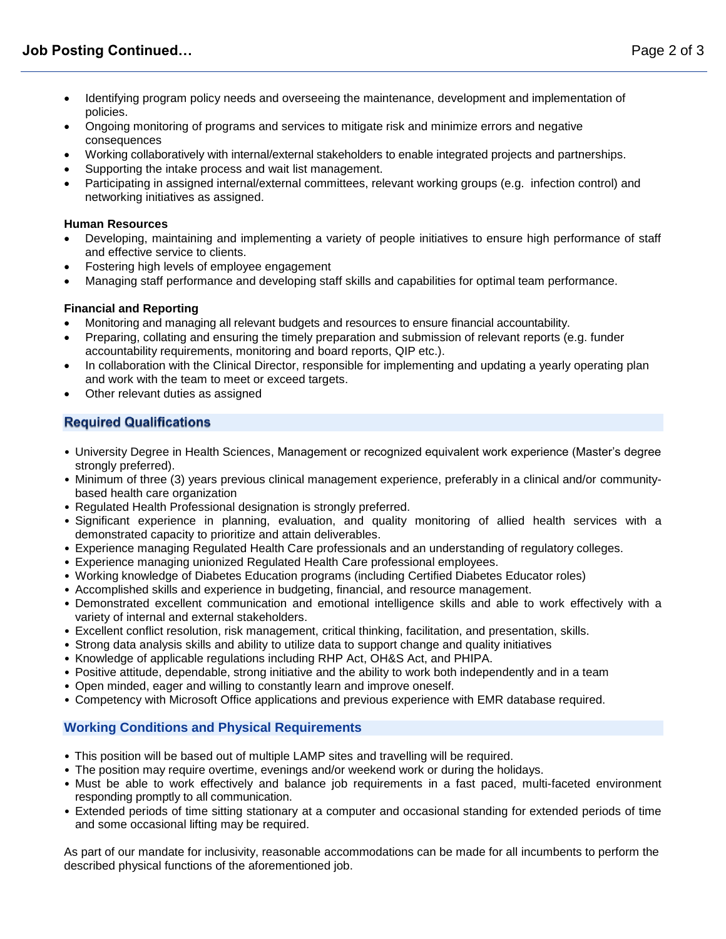- Identifying program policy needs and overseeing the maintenance, development and implementation of policies.
- Ongoing monitoring of programs and services to mitigate risk and minimize errors and negative consequences
- Working collaboratively with internal/external stakeholders to enable integrated projects and partnerships.
- Supporting the intake process and wait list management.
- Participating in assigned internal/external committees, relevant working groups (e.g. infection control) and networking initiatives as assigned.

### **Human Resources**

- Developing, maintaining and implementing a variety of people initiatives to ensure high performance of staff and effective service to clients.
- Fostering high levels of employee engagement
- Managing staff performance and developing staff skills and capabilities for optimal team performance.

## **Financial and Reporting**

- Monitoring and managing all relevant budgets and resources to ensure financial accountability.
- Preparing, collating and ensuring the timely preparation and submission of relevant reports (e.g. funder accountability requirements, monitoring and board reports, QIP etc.).
- In collaboration with the Clinical Director, responsible for implementing and updating a yearly operating plan and work with the team to meet or exceed targets.
- Other relevant duties as assigned

# **Required Qualifications**

- University Degree in Health Sciences, Management or recognized equivalent work experience (Master's degree strongly preferred).
- Minimum of three (3) years previous clinical management experience, preferably in a clinical and/or communitybased health care organization
- Regulated Health Professional designation is strongly preferred.
- Significant experience in planning, evaluation, and quality monitoring of allied health services with a demonstrated capacity to prioritize and attain deliverables.
- Experience managing Regulated Health Care professionals and an understanding of regulatory colleges.
- Experience managing unionized Regulated Health Care professional employees.
- Working knowledge of Diabetes Education programs (including Certified Diabetes Educator roles)
- Accomplished skills and experience in budgeting, financial, and resource management.
- Demonstrated excellent communication and emotional intelligence skills and able to work effectively with a variety of internal and external stakeholders.
- Excellent conflict resolution, risk management, critical thinking, facilitation, and presentation, skills.
- Strong data analysis skills and ability to utilize data to support change and quality initiatives
- Knowledge of applicable regulations including RHP Act, OH&S Act, and PHIPA.
- Positive attitude, dependable, strong initiative and the ability to work both independently and in a team
- Open minded, eager and willing to constantly learn and improve oneself.
- Competency with Microsoft Office applications and previous experience with EMR database required.

# **Working Conditions and Physical Requirements**

- This position will be based out of multiple LAMP sites and travelling will be required.
- The position may require overtime, evenings and/or weekend work or during the holidays.
- Must be able to work effectively and balance job requirements in a fast paced, multi-faceted environment responding promptly to all communication.
- Extended periods of time sitting stationary at a computer and occasional standing for extended periods of time and some occasional lifting may be required.

As part of our mandate for inclusivity, reasonable accommodations can be made for all incumbents to perform the described physical functions of the aforementioned job.